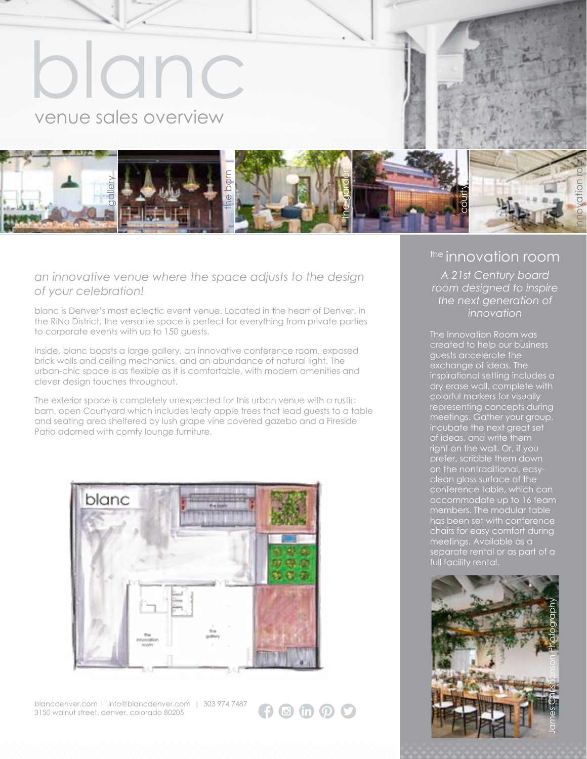

### *an innovative venue where the space adjusts to the design of your celebration!*

blanc is Denver's most eclectic event venue. Located in the heart of Denver, in the RiNo District, the versatile space is perfect for everything from private parties to corporate events with up to 150 guests.

Inside, blanc boasts a large gallery, an innovative conference room, exposed brick walls and ceiling mechanics, and an abundance of natural light. The urban-chic space is as flexible as it is comfortable, with modern amenities and clever design touches throughout.

The exterior space is completely unexpected for this urban venue with a rustic barn, open Courtyard which includes leafy apple trees that lead guests to a table and seating area sheltered by lush grape vine covered gazebo and a Fireside Patio adorned with comfy lounge furniture.



blancdenver.com | info@blancdenver.com | 303 974 7487 3150 walnut street, denver, colorado 80205

c in p 9

### the innovation room

*A 21st Century board room designed to inspire the next generation of innovation*

The Innovation Room was created to help our business guests accelerate the exchange of ideas. The inspirational setting includes a dry erase wall, complete with colorful markers for visually representing concepts during meetings. Gather your group, incubate the next great set of ideas, and write them right on the wall. Or, if you prefer, scribble them down on the nontraditional, easyclean glass surface of the conference table, which can accommodate up to 16 team members. The modular table has been set with conference chairs for easy comfort during meetings. Available as a separate rental or as part of a full facility rental.